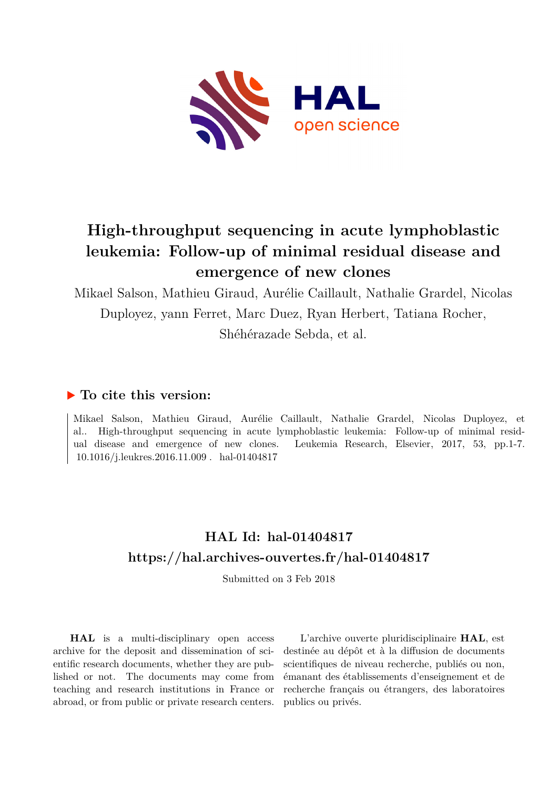

# **High-throughput sequencing in acute lymphoblastic leukemia: Follow-up of minimal residual disease and emergence of new clones**

Mikael Salson, Mathieu Giraud, Aurélie Caillault, Nathalie Grardel, Nicolas Duployez, yann Ferret, Marc Duez, Ryan Herbert, Tatiana Rocher, Shéhérazade Sebda, et al.

# **To cite this version:**

Mikael Salson, Mathieu Giraud, Aurélie Caillault, Nathalie Grardel, Nicolas Duployez, et al.. High-throughput sequencing in acute lymphoblastic leukemia: Follow-up of minimal residual disease and emergence of new clones. Leukemia Research, Elsevier, 2017, 53, pp.1-7.  $10.1016$ /j.leukres.2016.11.009. hal-01404817

# **HAL Id: hal-01404817 <https://hal.archives-ouvertes.fr/hal-01404817>**

Submitted on 3 Feb 2018

**HAL** is a multi-disciplinary open access archive for the deposit and dissemination of scientific research documents, whether they are published or not. The documents may come from teaching and research institutions in France or abroad, or from public or private research centers.

L'archive ouverte pluridisciplinaire **HAL**, est destinée au dépôt et à la diffusion de documents scientifiques de niveau recherche, publiés ou non, émanant des établissements d'enseignement et de recherche français ou étrangers, des laboratoires publics ou privés.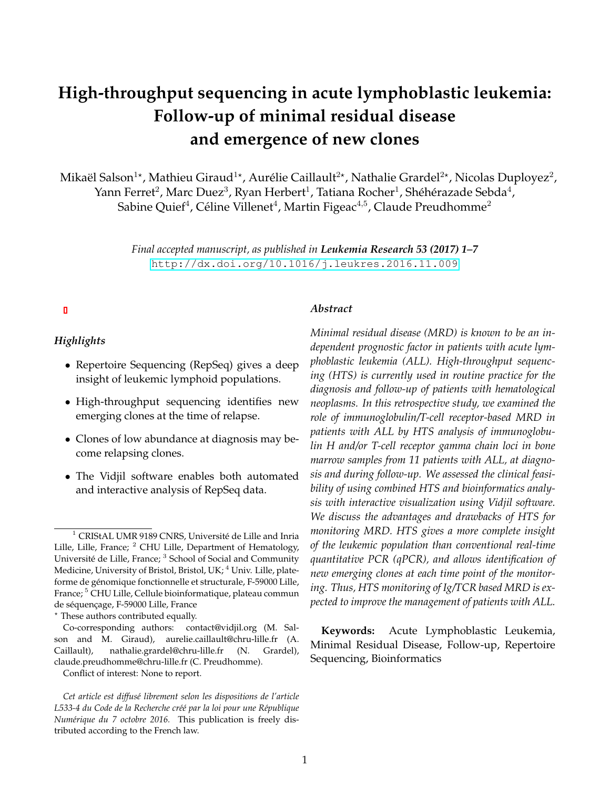# **High-throughput sequencing in acute lymphoblastic leukemia: Follow-up of minimal residual disease and emergence of new clones**

Mikaël Salson $^{1\star}$ , Mathieu Giraud $^{1\star}$ , Aurélie Caillault $^{2\star}$ , Nathalie Grardel $^{2\star}$ , Nicolas Duployez $^2$ , Yann Ferret $^2$ , Marc Duez $^3$ , Ryan Herbert $^1$ , Tatiana Rocher $^1$ , Shéhérazade Sebda $^4$ , Sabine Quief $^4$ , Céline Villenet $^4$ , Martin Figeac $^{\rm 4,5}$ , Claude Preudhomme $^2$ 

> *Final accepted manuscript, as published in Leukemia Research 53 (2017) 1–7* <http://dx.doi.org/10.1016/j.leukres.2016.11.009>

#### *Abstract*

### *Highlights*

- Repertoire Sequencing (RepSeq) gives a deep insight of leukemic lymphoid populations.
- High-throughput sequencing identifies new emerging clones at the time of relapse.
- Clones of low abundance at diagnosis may become relapsing clones.
- The Vidjil software enables both automated and interactive analysis of RepSeq data.

*Minimal residual disease (MRD) is known to be an independent prognostic factor in patients with acute lymphoblastic leukemia (ALL). High-throughput sequencing (HTS) is currently used in routine practice for the diagnosis and follow-up of patients with hematological neoplasms. In this retrospective study, we examined the role of immunoglobulin/T-cell receptor-based MRD in patients with ALL by HTS analysis of immunoglobulin H and/or T-cell receptor gamma chain loci in bone marrow samples from 11 patients with ALL, at diagnosis and during follow-up. We assessed the clinical feasibility of using combined HTS and bioinformatics analysis with interactive visualization using Vidjil software. We discuss the advantages and drawbacks of HTS for monitoring MRD. HTS gives a more complete insight of the leukemic population than conventional real-time quantitative PCR (qPCR), and allows identification of new emerging clones at each time point of the monitoring. Thus, HTS monitoring of Ig/TCR based MRD is expected to improve the management of patients with ALL.*

**Keywords:** Acute Lymphoblastic Leukemia, Minimal Residual Disease, Follow-up, Repertoire Sequencing, Bioinformatics

 $1$  CRIStAL UMR 9189 CNRS, Université de Lille and Inria Lille, Lille, France; <sup>2</sup> CHU Lille, Department of Hematology, Université de Lille, France; <sup>3</sup> School of Social and Community Medicine, University of Bristol, Bristol, UK; <sup>4</sup> Univ. Lille, plateforme de genomique fonctionnelle et structurale, F-59000 Lille, ´ France;<sup>5</sup> CHU Lille, Cellule bioinformatique, plateau commun de séquençage, F-59000 Lille, France

<sup>?</sup> These authors contributed equally.

Co-corresponding authors: contact@vidjil.org (M. Salson and M. Giraud), aurelie.caillault@chru-lille.fr (A. Caillault), nathalie.grardel@chru-lille.fr (N. Grardel), claude.preudhomme@chru-lille.fr (C. Preudhomme).

Conflict of interest: None to report.

*Cet article est diffus´e librement selon les dispositions de l'article* L533-4 du Code de la Recherche créé par la loi pour une République *Num´erique du 7 octobre 2016.* This publication is freely distributed according to the French law.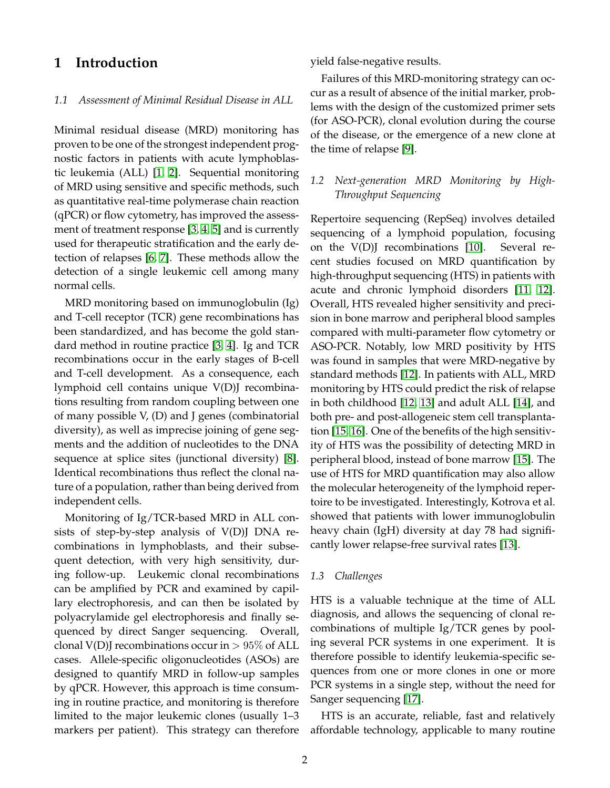## **1 Introduction**

#### *1.1 Assessment of Minimal Residual Disease in ALL*

Minimal residual disease (MRD) monitoring has proven to be one of the strongest independent prognostic factors in patients with acute lymphoblastic leukemia (ALL) [1, 2]. Sequential monitoring of MRD using sensitive and specific methods, such as quantitative real-time polymerase chain reaction (qPCR) or flow cytometry, has improved the assessment of treatment response [3, 4, 5] and is currently used for therapeutic stratification and the early detection of relapses [6, 7]. These methods allow the detection of a single leukemic cell among many normal cells.

MRD monitoring based on immunoglobulin (Ig) and T-cell receptor (TCR) gene recombinations has been standardized, and has become the gold standard method in routine practice [3, 4]. Ig and TCR recombinations occur in the early stages of B-cell and T-cell development. As a consequence, each lymphoid cell contains unique V(D)J recombinations resulting from random coupling between one of many possible  $V$ ,  $(D)$  and J genes (combinatorial diversity), as well as imprecise joining of gene segments and the addition of nucleotides to the DNA sequence at splice sites (junctional diversity) [8]. Identical recombinations thus reflect the clonal nature of a population, rather than being derived from independent cells.

Monitoring of Ig/TCR-based MRD in ALL consists of step-by-step analysis of V(D)J DNA recombinations in lymphoblasts, and their subsequent detection, with very high sensitivity, during follow-up. Leukemic clonal recombinations can be amplified by PCR and examined by capillary electrophoresis, and can then be isolated by polyacrylamide gel electrophoresis and finally sequenced by direct Sanger sequencing. Overall, clonal V(D)J recombinations occur in  $> 95\%$  of ALL cases. Allele-specific oligonucleotides (ASOs) are designed to quantify MRD in follow-up samples by qPCR. However, this approach is time consuming in routine practice, and monitoring is therefore limited to the major leukemic clones (usually 1–3 markers per patient). This strategy can therefore yield false-negative results.

Failures of this MRD-monitoring strategy can occur as a result of absence of the initial marker, problems with the design of the customized primer sets (for ASO-PCR), clonal evolution during the course of the disease, or the emergence of a new clone at the time of relapse [9].

### *1.2 Next-generation MRD Monitoring by High-Throughput Sequencing*

Repertoire sequencing (RepSeq) involves detailed sequencing of a lymphoid population, focusing on the V(D)J recombinations [10]. Several recent studies focused on MRD quantification by high-throughput sequencing (HTS) in patients with acute and chronic lymphoid disorders [11, 12]. Overall, HTS revealed higher sensitivity and precision in bone marrow and peripheral blood samples compared with multi-parameter flow cytometry or ASO-PCR. Notably, low MRD positivity by HTS was found in samples that were MRD-negative by standard methods [12]. In patients with ALL, MRD monitoring by HTS could predict the risk of relapse in both childhood [12, 13] and adult ALL [14], and both pre- and post-allogeneic stem cell transplantation [15, 16]. One of the benefits of the high sensitivity of HTS was the possibility of detecting MRD in peripheral blood, instead of bone marrow [15]. The use of HTS for MRD quantification may also allow the molecular heterogeneity of the lymphoid repertoire to be investigated. Interestingly, Kotrova et al. showed that patients with lower immunoglobulin heavy chain (IgH) diversity at day 78 had significantly lower relapse-free survival rates [13].

#### *1.3 Challenges*

HTS is a valuable technique at the time of ALL diagnosis, and allows the sequencing of clonal recombinations of multiple Ig/TCR genes by pooling several PCR systems in one experiment. It is therefore possible to identify leukemia-specific sequences from one or more clones in one or more PCR systems in a single step, without the need for Sanger sequencing [17].

HTS is an accurate, reliable, fast and relatively affordable technology, applicable to many routine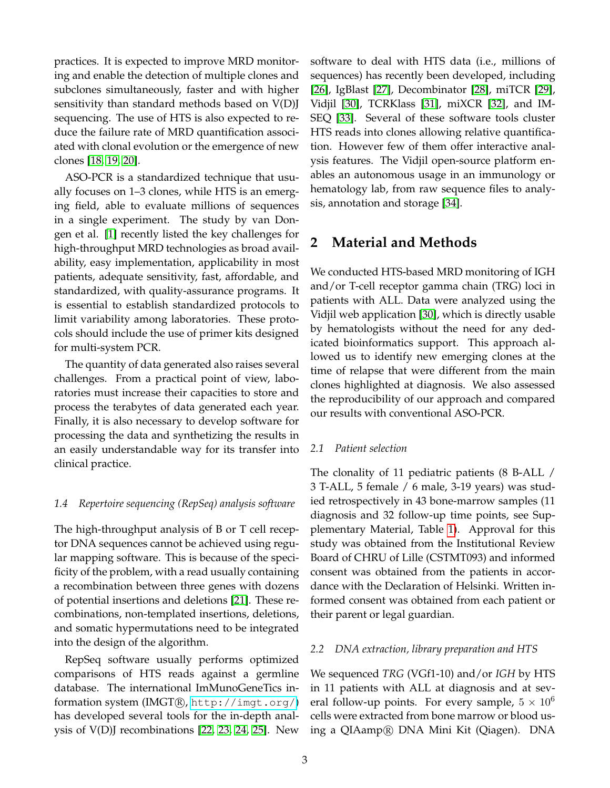practices. It is expected to improve MRD monitoring and enable the detection of multiple clones and subclones simultaneously, faster and with higher sensitivity than standard methods based on V(D)J sequencing. The use of HTS is also expected to reduce the failure rate of MRD quantification associated with clonal evolution or the emergence of new clones [18, 19, 20].

ASO-PCR is a standardized technique that usually focuses on 1–3 clones, while HTS is an emerging field, able to evaluate millions of sequences in a single experiment. The study by van Dongen et al. [1] recently listed the key challenges for high-throughput MRD technologies as broad availability, easy implementation, applicability in most patients, adequate sensitivity, fast, affordable, and standardized, with quality-assurance programs. It is essential to establish standardized protocols to limit variability among laboratories. These protocols should include the use of primer kits designed for multi-system PCR.

The quantity of data generated also raises several challenges. From a practical point of view, laboratories must increase their capacities to store and process the terabytes of data generated each year. Finally, it is also necessary to develop software for processing the data and synthetizing the results in an easily understandable way for its transfer into clinical practice.

### *1.4 Repertoire sequencing (RepSeq) analysis software*

The high-throughput analysis of B or T cell receptor DNA sequences cannot be achieved using regular mapping software. This is because of the specificity of the problem, with a read usually containing a recombination between three genes with dozens of potential insertions and deletions [21]. These recombinations, non-templated insertions, deletions, and somatic hypermutations need to be integrated into the design of the algorithm.

RepSeq software usually performs optimized comparisons of HTS reads against a germline database. The international ImMunoGeneTics information system (IMGT®, <http://imgt.org/>) has developed several tools for the in-depth analysis of V(D)J recombinations [22, 23, 24, 25]. New software to deal with HTS data (i.e., millions of sequences) has recently been developed, including [26], IgBlast [27], Decombinator [28], miTCR [29], Vidjil [30], TCRKlass [31], miXCR [32], and IM-SEQ [33]. Several of these software tools cluster HTS reads into clones allowing relative quantification. However few of them offer interactive analysis features. The Vidjil open-source platform enables an autonomous usage in an immunology or hematology lab, from raw sequence files to analysis, annotation and storage [34].

# **2 Material and Methods**

We conducted HTS-based MRD monitoring of IGH and/or T-cell receptor gamma chain (TRG) loci in patients with ALL. Data were analyzed using the Vidjil web application [30], which is directly usable by hematologists without the need for any dedicated bioinformatics support. This approach allowed us to identify new emerging clones at the time of relapse that were different from the main clones highlighted at diagnosis. We also assessed the reproducibility of our approach and compared our results with conventional ASO-PCR.

### *2.1 Patient selection*

The clonality of 11 pediatric patients (8 B-ALL / 3 T-ALL, 5 female / 6 male, 3-19 years) was studied retrospectively in 43 bone-marrow samples (11 diagnosis and 32 follow-up time points, see Supplementary Material, Table 1). Approval for this study was obtained from the Institutional Review Board of CHRU of Lille (CSTMT093) and informed consent was obtained from the patients in accordance with the Declaration of Helsinki. Written informed consent was obtained from each patient or their parent or legal guardian.

### *2.2 DNA extraction, library preparation and HTS*

We sequenced *TRG* (VGf1-10) and/or *IGH* by HTS in 11 patients with ALL at diagnosis and at several follow-up points. For every sample,  $5 \times 10^6$ cells were extracted from bone marrow or blood using a QIAamp <sup>R</sup> DNA Mini Kit (Qiagen). DNA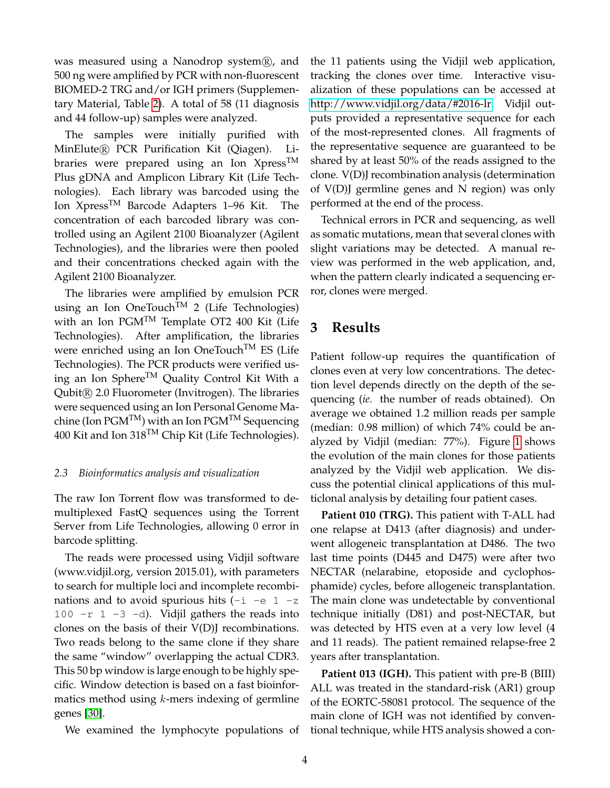was measured using a Nanodrop system $(\overline{R})$ , and 500 ng were amplified by PCR with non-fluorescent BIOMED-2 TRG and/or IGH primers (Supplementary Material, Table 2). A total of 58 (11 diagnosis and 44 follow-up) samples were analyzed.

The samples were initially purified with MinElute<sup>(R)</sup> PCR Purification Kit (Qiagen). Libraries were prepared using an Ion Xpress<sup>TM</sup> Plus gDNA and Amplicon Library Kit (Life Technologies). Each library was barcoded using the Ion XpressTM Barcode Adapters 1–96 Kit. The concentration of each barcoded library was controlled using an Agilent 2100 Bioanalyzer (Agilent Technologies), and the libraries were then pooled and their concentrations checked again with the Agilent 2100 Bioanalyzer.

The libraries were amplified by emulsion PCR using an Ion OneTouch<sup>TM</sup> 2 (Life Technologies) with an Ion  $PGM^{TM}$  Template OT2 400 Kit (Life Technologies). After amplification, the libraries were enriched using an Ion OneTouch<sup>TM</sup> ES (Life Technologies). The PCR products were verified using an Ion Sphere<sup>TM</sup> Quality Control Kit With a Qubit <sup>R</sup> 2.0 Fluorometer (Invitrogen). The libraries were sequenced using an Ion Personal Genome Machine (Ion  $PGM^{TM}$ ) with an Ion  $PGM^{TM}$  Sequencing 400 Kit and Ion  $318^{TM}$  Chip Kit (Life Technologies).

### *2.3 Bioinformatics analysis and visualization*

The raw Ion Torrent flow was transformed to demultiplexed FastQ sequences using the Torrent Server from Life Technologies, allowing 0 error in barcode splitting.

The reads were processed using Vidjil software (www.vidjil.org, version 2015.01), with parameters to search for multiple loci and incomplete recombinations and to avoid spurious hits  $(-i -e)$  -z 100  $-r$  1  $-3$   $-d$ ). Vidjil gathers the reads into clones on the basis of their V(D)J recombinations. Two reads belong to the same clone if they share the same "window" overlapping the actual CDR3. This 50 bp window is large enough to be highly specific. Window detection is based on a fast bioinformatics method using  $k$ -mers indexing of germline genes [30].

We examined the lymphocyte populations of tional technique, while HTS analysis showed a con-

the 11 patients using the Vidjil web application, tracking the clones over time. Interactive visualization of these populations can be accessed at [http://www.vidjil.org/data/#2016-lr.](http://www.vidjil.org/data/#2016-lr) Vidjil outputs provided a representative sequence for each of the most-represented clones. All fragments of the representative sequence are guaranteed to be shared by at least 50% of the reads assigned to the clone. V(D)J recombination analysis (determination of V(D)J germline genes and N region) was only performed at the end of the process.

Technical errors in PCR and sequencing, as well as somatic mutations, mean that several clones with slight variations may be detected. A manual review was performed in the web application, and, when the pattern clearly indicated a sequencing error, clones were merged.

# **3 Results**

Patient follow-up requires the quantification of clones even at very low concentrations. The detection level depends directly on the depth of the sequencing (*ie.* the number of reads obtained). On average we obtained 1.2 million reads per sample (median: 0.98 million) of which 74% could be analyzed by Vidjil (median: 77%). Figure 1 shows the evolution of the main clones for those patients analyzed by the Vidjil web application. We discuss the potential clinical applications of this multiclonal analysis by detailing four patient cases.

**Patient 010 (TRG).** This patient with T-ALL had one relapse at D413 (after diagnosis) and underwent allogeneic transplantation at D486. The two last time points (D445 and D475) were after two NECTAR (nelarabine, etoposide and cyclophosphamide) cycles, before allogeneic transplantation. The main clone was undetectable by conventional technique initially (D81) and post-NECTAR, but was detected by HTS even at a very low level (4 and 11 reads). The patient remained relapse-free 2 years after transplantation.

**Patient 013 (IGH).** This patient with pre-B (BIII) ALL was treated in the standard-risk (AR1) group of the EORTC-58081 protocol. The sequence of the main clone of IGH was not identified by conven-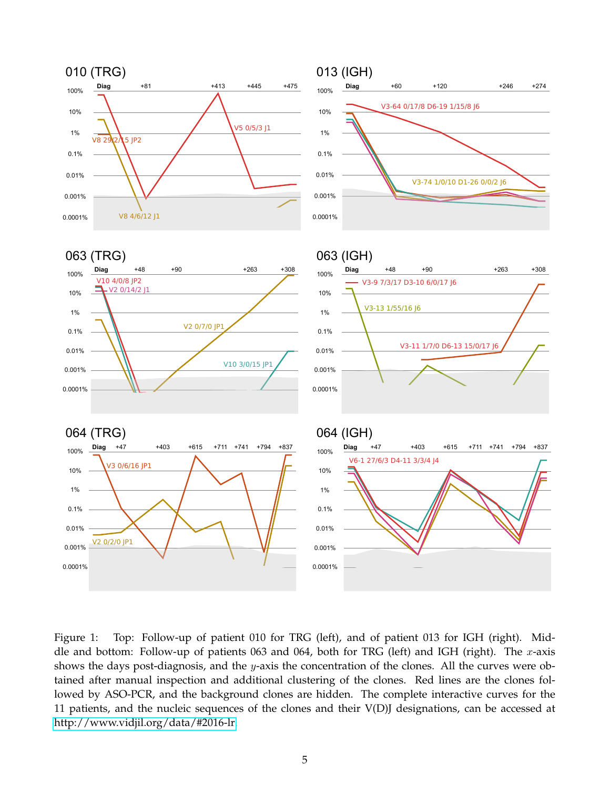

Figure 1: Top: Follow-up of patient 010 for TRG (left), and of patient 013 for IGH (right). Middle and bottom: Follow-up of patients 063 and 064, both for TRG (left) and IGH (right). The x-axis shows the days post-diagnosis, and the y-axis the concentration of the clones. All the curves were obtained after manual inspection and additional clustering of the clones. Red lines are the clones followed by ASO-PCR, and the background clones are hidden. The complete interactive curves for the 11 patients, and the nucleic sequences of the clones and their V(D)J designations, can be accessed at [http://www.vidjil.org/data/#2016-lr.](http://www.vidjil.org/data/#2016-lr)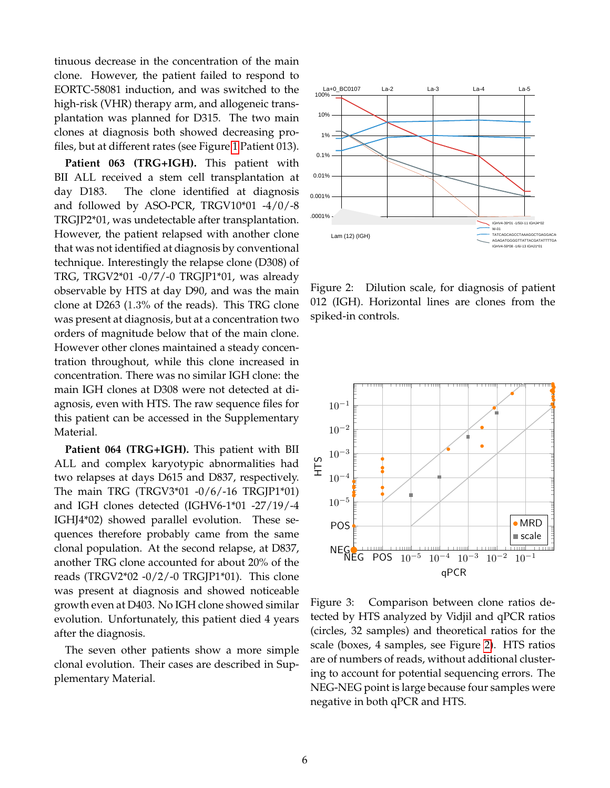tinuous decrease in the concentration of the main clone. However, the patient failed to respond to EORTC-58081 induction, and was switched to the high-risk (VHR) therapy arm, and allogeneic transplantation was planned for D315. The two main clones at diagnosis both showed decreasing profiles, but at different rates (see Figure 1 Patient 013).

**Patient 063 (TRG+IGH).** This patient with BII ALL received a stem cell transplantation at day D183. The clone identified at diagnosis and followed by ASO-PCR, TRGV10\*01 -4/0/-8 TRGJP2\*01, was undetectable after transplantation. However, the patient relapsed with another clone that was not identified at diagnosis by conventional technique. Interestingly the relapse clone (D308) of TRG, TRGV2\*01 -0/7/-0 TRGJP1\*01, was already observable by HTS at day D90, and was the main clone at D263 (1.3% of the reads). This TRG clone was present at diagnosis, but at a concentration two orders of magnitude below that of the main clone. However other clones maintained a steady concentration throughout, while this clone increased in concentration. There was no similar IGH clone: the main IGH clones at D308 were not detected at diagnosis, even with HTS. The raw sequence files for this patient can be accessed in the Supplementary Material.

**Patient 064 (TRG+IGH).** This patient with BII ALL and complex karyotypic abnormalities had two relapses at days D615 and D837, respectively. The main TRG (TRGV3\*01 -0/6/-16 TRGJP1\*01) and IGH clones detected (IGHV6-1\*01 -27/19/-4 IGHJ4\*02) showed parallel evolution. These sequences therefore probably came from the same clonal population. At the second relapse, at D837, another TRG clone accounted for about 20% of the reads (TRGV2\*02 -0/2/-0 TRGJP1\*01). This clone was present at diagnosis and showed noticeable growth even at D403. No IGH clone showed similar evolution. Unfortunately, this patient died 4 years after the diagnosis.

The seven other patients show a more simple clonal evolution. Their cases are described in Supplementary Material.



Figure 2: Dilution scale, for diagnosis of patient 012 (IGH). Horizontal lines are clones from the spiked-in controls.



Figure 3: Comparison between clone ratios detected by HTS analyzed by Vidjil and qPCR ratios (circles, 32 samples) and theoretical ratios for the scale (boxes, 4 samples, see Figure 2). HTS ratios are of numbers of reads, without additional clustering to account for potential sequencing errors. The NEG-NEG point is large because four samples were negative in both qPCR and HTS.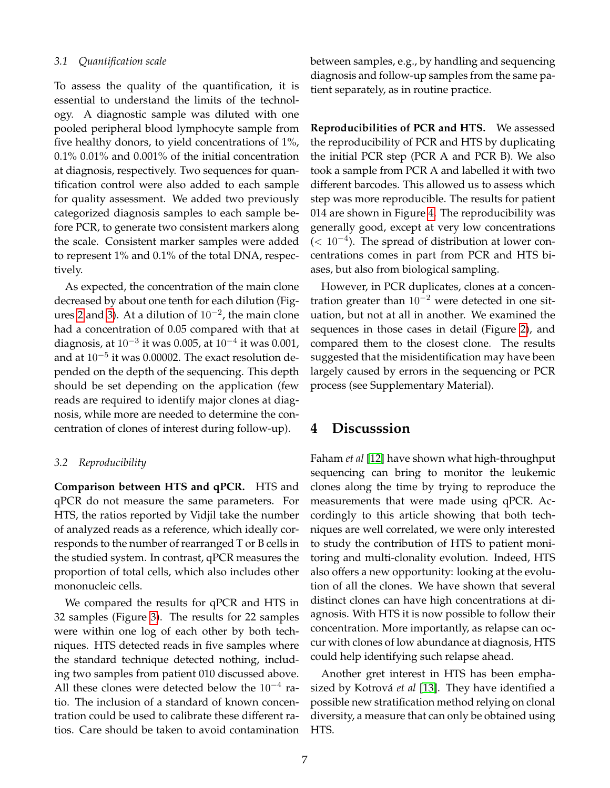#### *3.1 Quantification scale*

To assess the quality of the quantification, it is essential to understand the limits of the technology. A diagnostic sample was diluted with one pooled peripheral blood lymphocyte sample from five healthy donors, to yield concentrations of 1%, 0.1% 0.01% and 0.001% of the initial concentration at diagnosis, respectively. Two sequences for quantification control were also added to each sample for quality assessment. We added two previously categorized diagnosis samples to each sample before PCR, to generate two consistent markers along the scale. Consistent marker samples were added to represent 1% and 0.1% of the total DNA, respectively.

As expected, the concentration of the main clone decreased by about one tenth for each dilution (Figures 2 and 3). At a dilution of  $10^{-2}$ , the main clone had a concentration of 0.05 compared with that at diagnosis, at  $10^{-3}$  it was  $0.005$ , at  $10^{-4}$  it was  $0.001$ , and at  $10^{-5}$  it was 0.00002. The exact resolution depended on the depth of the sequencing. This depth should be set depending on the application (few reads are required to identify major clones at diagnosis, while more are needed to determine the concentration of clones of interest during follow-up).

### *3.2 Reproducibility*

**Comparison between HTS and qPCR.** HTS and qPCR do not measure the same parameters. For HTS, the ratios reported by Vidjil take the number of analyzed reads as a reference, which ideally corresponds to the number of rearranged T or B cells in the studied system. In contrast, qPCR measures the proportion of total cells, which also includes other mononucleic cells.

We compared the results for qPCR and HTS in 32 samples (Figure 3). The results for 22 samples were within one log of each other by both techniques. HTS detected reads in five samples where the standard technique detected nothing, including two samples from patient 010 discussed above. All these clones were detected below the  $10^{-4}$  ratio. The inclusion of a standard of known concentration could be used to calibrate these different ratios. Care should be taken to avoid contamination between samples, e.g., by handling and sequencing diagnosis and follow-up samples from the same patient separately, as in routine practice.

**Reproducibilities of PCR and HTS.** We assessed the reproducibility of PCR and HTS by duplicating the initial PCR step (PCR A and PCR B). We also took a sample from PCR A and labelled it with two different barcodes. This allowed us to assess which step was more reproducible. The results for patient 014 are shown in Figure 4. The reproducibility was generally good, except at very low concentrations  $($  <  $10^{-4}$ ). The spread of distribution at lower concentrations comes in part from PCR and HTS biases, but also from biological sampling.

However, in PCR duplicates, clones at a concentration greater than  $10^{-2}$  were detected in one situation, but not at all in another. We examined the sequences in those cases in detail (Figure 2), and compared them to the closest clone. The results suggested that the misidentification may have been largely caused by errors in the sequencing or PCR process (see Supplementary Material).

## **4 Discusssion**

Faham *et al* [12] have shown what high-throughput sequencing can bring to monitor the leukemic clones along the time by trying to reproduce the measurements that were made using qPCR. Accordingly to this article showing that both techniques are well correlated, we were only interested to study the contribution of HTS to patient monitoring and multi-clonality evolution. Indeed, HTS also offers a new opportunity: looking at the evolution of all the clones. We have shown that several distinct clones can have high concentrations at diagnosis. With HTS it is now possible to follow their concentration. More importantly, as relapse can occur with clones of low abundance at diagnosis, HTS could help identifying such relapse ahead.

Another gret interest in HTS has been emphasized by Kotrová et al [13]. They have identified a possible new stratification method relying on clonal diversity, a measure that can only be obtained using HTS.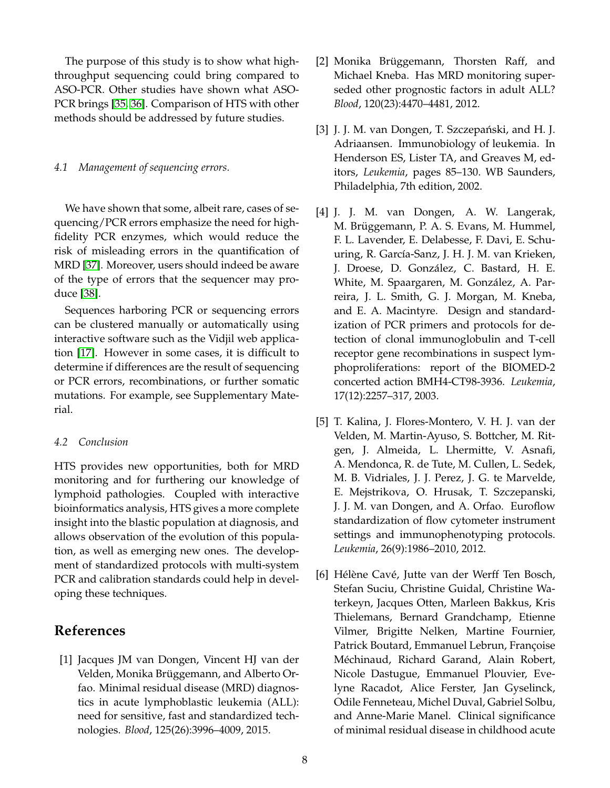The purpose of this study is to show what highthroughput sequencing could bring compared to ASO-PCR. Other studies have shown what ASO-PCR brings [35, 36]. Comparison of HTS with other methods should be addressed by future studies.

### *4.1 Management of sequencing errors.*

We have shown that some, albeit rare, cases of sequencing/PCR errors emphasize the need for highfidelity PCR enzymes, which would reduce the risk of misleading errors in the quantification of MRD [37]. Moreover, users should indeed be aware of the type of errors that the sequencer may produce [38].

Sequences harboring PCR or sequencing errors can be clustered manually or automatically using interactive software such as the Vidjil web application [17]. However in some cases, it is difficult to determine if differences are the result of sequencing or PCR errors, recombinations, or further somatic mutations. For example, see Supplementary Material.

### *4.2 Conclusion*

HTS provides new opportunities, both for MRD monitoring and for furthering our knowledge of lymphoid pathologies. Coupled with interactive bioinformatics analysis, HTS gives a more complete insight into the blastic population at diagnosis, and allows observation of the evolution of this population, as well as emerging new ones. The development of standardized protocols with multi-system PCR and calibration standards could help in developing these techniques.

# **References**

[1] Jacques JM van Dongen, Vincent HJ van der Velden, Monika Brüggemann, and Alberto Orfao. Minimal residual disease (MRD) diagnostics in acute lymphoblastic leukemia (ALL): need for sensitive, fast and standardized technologies. *Blood*, 125(26):3996–4009, 2015.

- [2] Monika Brüggemann, Thorsten Raff, and Michael Kneba. Has MRD monitoring superseded other prognostic factors in adult ALL? *Blood*, 120(23):4470–4481, 2012.
- [3] J. J. M. van Dongen, T. Szczepański, and H. J. Adriaansen. Immunobiology of leukemia. In Henderson ES, Lister TA, and Greaves M, editors, *Leukemia*, pages 85–130. WB Saunders, Philadelphia, 7th edition, 2002.
- [4] J. J. M. van Dongen, A. W. Langerak, M. Brüggemann, P. A. S. Evans, M. Hummel, F. L. Lavender, E. Delabesse, F. Davi, E. Schuuring, R. García-Sanz, J. H. J. M. van Krieken, J. Droese, D. Gonzalez, C. Bastard, H. E. ´ White, M. Spaargaren, M. González, A. Parreira, J. L. Smith, G. J. Morgan, M. Kneba, and E. A. Macintyre. Design and standardization of PCR primers and protocols for detection of clonal immunoglobulin and T-cell receptor gene recombinations in suspect lymphoproliferations: report of the BIOMED-2 concerted action BMH4-CT98-3936. *Leukemia*, 17(12):2257–317, 2003.
- [5] T. Kalina, J. Flores-Montero, V. H. J. van der Velden, M. Martin-Ayuso, S. Bottcher, M. Ritgen, J. Almeida, L. Lhermitte, V. Asnafi, A. Mendonca, R. de Tute, M. Cullen, L. Sedek, M. B. Vidriales, J. J. Perez, J. G. te Marvelde, E. Mejstrikova, O. Hrusak, T. Szczepanski, J. J. M. van Dongen, and A. Orfao. Euroflow standardization of flow cytometer instrument settings and immunophenotyping protocols. *Leukemia*, 26(9):1986–2010, 2012.
- [6] Hélène Cavé, Jutte van der Werff Ten Bosch, Stefan Suciu, Christine Guidal, Christine Waterkeyn, Jacques Otten, Marleen Bakkus, Kris Thielemans, Bernard Grandchamp, Etienne Vilmer, Brigitte Nelken, Martine Fournier, Patrick Boutard, Emmanuel Lebrun, Françoise Méchinaud, Richard Garand, Alain Robert, Nicole Dastugue, Emmanuel Plouvier, Evelyne Racadot, Alice Ferster, Jan Gyselinck, Odile Fenneteau, Michel Duval, Gabriel Solbu, and Anne-Marie Manel. Clinical significance of minimal residual disease in childhood acute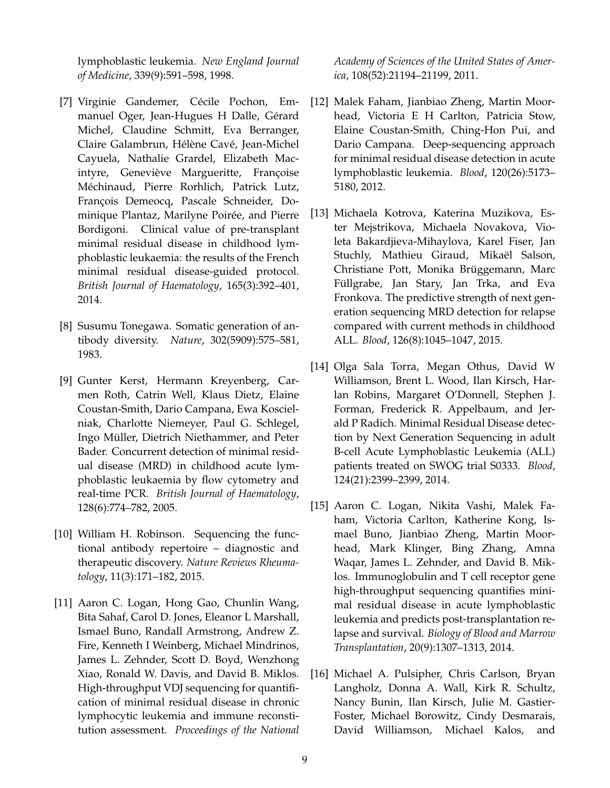lymphoblastic leukemia. *New England Journal of Medicine*, 339(9):591–598, 1998.

- [7] Virginie Gandemer, Cécile Pochon, Emmanuel Oger, Jean-Hugues H Dalle, Gérard Michel, Claudine Schmitt, Eva Berranger, Claire Galambrun, Hélène Cavé, Jean-Michel Cayuela, Nathalie Grardel, Elizabeth Macintyre, Geneviève Margueritte, Françoise Méchinaud, Pierre Rorhlich, Patrick Lutz, François Demeocq, Pascale Schneider, Dominique Plantaz, Marilyne Poirée, and Pierre Bordigoni. Clinical value of pre-transplant minimal residual disease in childhood lymphoblastic leukaemia: the results of the French minimal residual disease-guided protocol. *British Journal of Haematology*, 165(3):392–401, 2014.
- [8] Susumu Tonegawa. Somatic generation of antibody diversity. *Nature*, 302(5909):575–581, 1983.
- [9] Gunter Kerst, Hermann Kreyenberg, Carmen Roth, Catrin Well, Klaus Dietz, Elaine Coustan-Smith, Dario Campana, Ewa Koscielniak, Charlotte Niemeyer, Paul G. Schlegel, Ingo Müller, Dietrich Niethammer, and Peter Bader. Concurrent detection of minimal residual disease (MRD) in childhood acute lymphoblastic leukaemia by flow cytometry and real-time PCR. *British Journal of Haematology*, 128(6):774–782, 2005.
- [10] William H. Robinson. Sequencing the functional antibody repertoire – diagnostic and therapeutic discovery. *Nature Reviews Rheumatology*, 11(3):171–182, 2015.
- [11] Aaron C. Logan, Hong Gao, Chunlin Wang, Bita Sahaf, Carol D. Jones, Eleanor L Marshall, Ismael Buno, Randall Armstrong, Andrew Z. Fire, Kenneth I Weinberg, Michael Mindrinos, James L. Zehnder, Scott D. Boyd, Wenzhong Xiao, Ronald W. Davis, and David B. Miklos. High-throughput VDJ sequencing for quantification of minimal residual disease in chronic lymphocytic leukemia and immune reconstitution assessment. *Proceedings of the National*

*Academy of Sciences of the United States of America*, 108(52):21194–21199, 2011.

- [12] Malek Faham, Jianbiao Zheng, Martin Moorhead, Victoria E H Carlton, Patricia Stow, Elaine Coustan-Smith, Ching-Hon Pui, and Dario Campana. Deep-sequencing approach for minimal residual disease detection in acute lymphoblastic leukemia. *Blood*, 120(26):5173– 5180, 2012.
- [13] Michaela Kotrova, Katerina Muzikova, Ester Mejstrikova, Michaela Novakova, Violeta Bakardjieva-Mihaylova, Karel Fiser, Jan Stuchly, Mathieu Giraud, Mikaël Salson, Christiane Pott, Monika Brüggemann, Marc Füllgrabe, Jan Stary, Jan Trka, and Eva Fronkova. The predictive strength of next generation sequencing MRD detection for relapse compared with current methods in childhood ALL. *Blood*, 126(8):1045–1047, 2015.
- [14] Olga Sala Torra, Megan Othus, David W Williamson, Brent L. Wood, Ilan Kirsch, Harlan Robins, Margaret O'Donnell, Stephen J. Forman, Frederick R. Appelbaum, and Jerald P Radich. Minimal Residual Disease detection by Next Generation Sequencing in adult B-cell Acute Lymphoblastic Leukemia (ALL) patients treated on SWOG trial S0333. *Blood*, 124(21):2399–2399, 2014.
- [15] Aaron C. Logan, Nikita Vashi, Malek Faham, Victoria Carlton, Katherine Kong, Ismael Buno, Jianbiao Zheng, Martin Moorhead, Mark Klinger, Bing Zhang, Amna Waqar, James L. Zehnder, and David B. Miklos. Immunoglobulin and T cell receptor gene high-throughput sequencing quantifies minimal residual disease in acute lymphoblastic leukemia and predicts post-transplantation relapse and survival. *Biology of Blood and Marrow Transplantation*, 20(9):1307–1313, 2014.
- [16] Michael A. Pulsipher, Chris Carlson, Bryan Langholz, Donna A. Wall, Kirk R. Schultz, Nancy Bunin, Ilan Kirsch, Julie M. Gastier-Foster, Michael Borowitz, Cindy Desmarais, David Williamson, Michael Kalos, and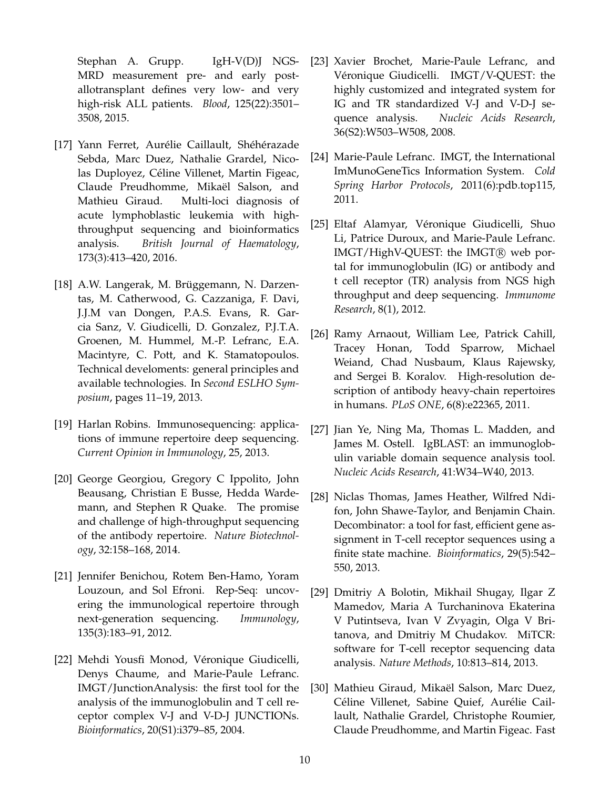Stephan A. Grupp. IgH-V(D) NGS-MRD measurement pre- and early postallotransplant defines very low- and very high-risk ALL patients. *Blood*, 125(22):3501– 3508, 2015.

- [17] Yann Ferret, Aurélie Caillault, Shéhérazade Sebda, Marc Duez, Nathalie Grardel, Nicolas Duployez, Celine Villenet, Martin Figeac, ´ Claude Preudhomme, Mikaël Salson, and Mathieu Giraud. Multi-loci diagnosis of acute lymphoblastic leukemia with highthroughput sequencing and bioinformatics analysis. *British Journal of Haematology*, 173(3):413–420, 2016.
- [18] A.W. Langerak, M. Brüggemann, N. Darzentas, M. Catherwood, G. Cazzaniga, F. Davi, J.J.M van Dongen, P.A.S. Evans, R. Garcia Sanz, V. Giudicelli, D. Gonzalez, P.J.T.A. Groenen, M. Hummel, M.-P. Lefranc, E.A. Macintyre, C. Pott, and K. Stamatopoulos. Technical develoments: general principles and available technologies. In *Second ESLHO Symposium*, pages 11–19, 2013.
- [19] Harlan Robins. Immunosequencing: applications of immune repertoire deep sequencing. *Current Opinion in Immunology*, 25, 2013.
- [20] George Georgiou, Gregory C Ippolito, John Beausang, Christian E Busse, Hedda Wardemann, and Stephen R Quake. The promise and challenge of high-throughput sequencing of the antibody repertoire. *Nature Biotechnology*, 32:158–168, 2014.
- [21] Jennifer Benichou, Rotem Ben-Hamo, Yoram Louzoun, and Sol Efroni. Rep-Seq: uncovering the immunological repertoire through next-generation sequencing. *Immunology*, 135(3):183–91, 2012.
- [22] Mehdi Yousfi Monod, Véronique Giudicelli, Denys Chaume, and Marie-Paule Lefranc. IMGT/JunctionAnalysis: the first tool for the analysis of the immunoglobulin and T cell receptor complex V-J and V-D-J JUNCTIONs. *Bioinformatics*, 20(S1):i379–85, 2004.
- [23] Xavier Brochet, Marie-Paule Lefranc, and Véronique Giudicelli. IMGT/V-QUEST: the highly customized and integrated system for IG and TR standardized V-J and V-D-J sequence analysis. *Nucleic Acids Research*, 36(S2):W503–W508, 2008.
- [24] Marie-Paule Lefranc. IMGT, the International ImMunoGeneTics Information System. *Cold Spring Harbor Protocols*, 2011(6):pdb.top115, 2011.
- [25] Eltaf Alamyar, Véronique Giudicelli, Shuo Li, Patrice Duroux, and Marie-Paule Lefranc. IMGT/HighV-QUEST: the IMGT® web portal for immunoglobulin (IG) or antibody and t cell receptor (TR) analysis from NGS high throughput and deep sequencing. *Immunome Research*, 8(1), 2012.
- [26] Ramy Arnaout, William Lee, Patrick Cahill, Tracey Honan, Todd Sparrow, Michael Weiand, Chad Nusbaum, Klaus Rajewsky, and Sergei B. Koralov. High-resolution description of antibody heavy-chain repertoires in humans. *PLoS ONE*, 6(8):e22365, 2011.
- [27] Jian Ye, Ning Ma, Thomas L. Madden, and James M. Ostell. IgBLAST: an immunoglobulin variable domain sequence analysis tool. *Nucleic Acids Research*, 41:W34–W40, 2013.
- [28] Niclas Thomas, James Heather, Wilfred Ndifon, John Shawe-Taylor, and Benjamin Chain. Decombinator: a tool for fast, efficient gene assignment in T-cell receptor sequences using a finite state machine. *Bioinformatics*, 29(5):542– 550, 2013.
- [29] Dmitriy A Bolotin, Mikhail Shugay, Ilgar Z Mamedov, Maria A Turchaninova Ekaterina V Putintseva, Ivan V Zvyagin, Olga V Britanova, and Dmitriy M Chudakov. MiTCR: software for T-cell receptor sequencing data analysis. *Nature Methods*, 10:813–814, 2013.
- [30] Mathieu Giraud, Mikaël Salson, Marc Duez, Céline Villenet, Sabine Quief, Aurélie Caillault, Nathalie Grardel, Christophe Roumier, Claude Preudhomme, and Martin Figeac. Fast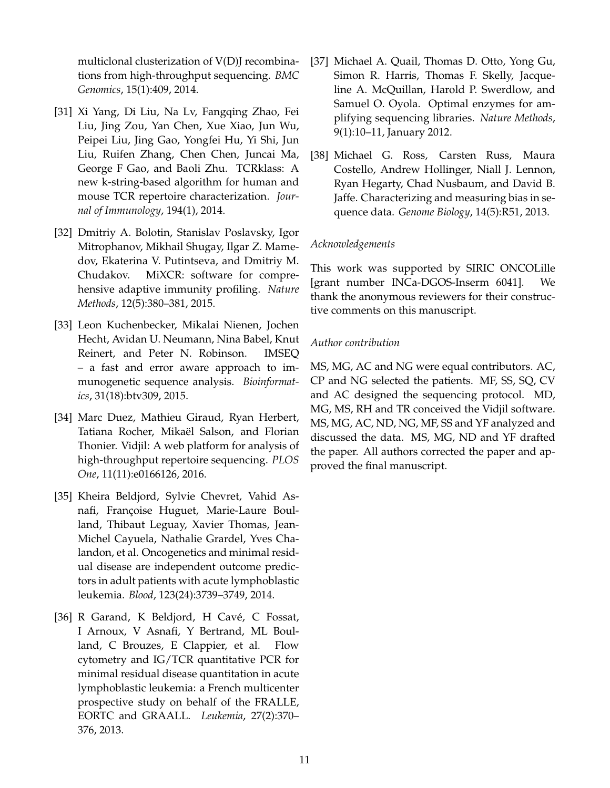multiclonal clusterization of V(D)J recombinations from high-throughput sequencing. *BMC Genomics*, 15(1):409, 2014.

- [31] Xi Yang, Di Liu, Na Lv, Fangqing Zhao, Fei Liu, Jing Zou, Yan Chen, Xue Xiao, Jun Wu, Peipei Liu, Jing Gao, Yongfei Hu, Yi Shi, Jun Liu, Ruifen Zhang, Chen Chen, Juncai Ma, George F Gao, and Baoli Zhu. TCRklass: A new k-string-based algorithm for human and mouse TCR repertoire characterization. *Journal of Immunology*, 194(1), 2014.
- [32] Dmitriy A. Bolotin, Stanislav Poslavsky, Igor Mitrophanov, Mikhail Shugay, Ilgar Z. Mamedov, Ekaterina V. Putintseva, and Dmitriy M. Chudakov. MiXCR: software for comprehensive adaptive immunity profiling. *Nature Methods*, 12(5):380–381, 2015.
- [33] Leon Kuchenbecker, Mikalai Nienen, Jochen Hecht, Avidan U. Neumann, Nina Babel, Knut Reinert, and Peter N. Robinson. IMSEQ – a fast and error aware approach to immunogenetic sequence analysis. *Bioinformatics*, 31(18):btv309, 2015.
- [34] Marc Duez, Mathieu Giraud, Ryan Herbert, Tatiana Rocher, Mikaël Salson, and Florian Thonier. Vidjil: A web platform for analysis of high-throughput repertoire sequencing. *PLOS One*, 11(11):e0166126, 2016.
- [35] Kheira Beldjord, Sylvie Chevret, Vahid Asnafi, Françoise Huguet, Marie-Laure Boulland, Thibaut Leguay, Xavier Thomas, Jean-Michel Cayuela, Nathalie Grardel, Yves Chalandon, et al. Oncogenetics and minimal residual disease are independent outcome predictors in adult patients with acute lymphoblastic leukemia. *Blood*, 123(24):3739–3749, 2014.
- [36] R Garand, K Beldjord, H Cavé, C Fossat, I Arnoux, V Asnafi, Y Bertrand, ML Boulland, C Brouzes, E Clappier, et al. Flow cytometry and IG/TCR quantitative PCR for minimal residual disease quantitation in acute lymphoblastic leukemia: a French multicenter prospective study on behalf of the FRALLE, EORTC and GRAALL. *Leukemia*, 27(2):370– 376, 2013.
- [37] Michael A. Quail, Thomas D. Otto, Yong Gu, Simon R. Harris, Thomas F. Skelly, Jacqueline A. McQuillan, Harold P. Swerdlow, and Samuel O. Oyola. Optimal enzymes for amplifying sequencing libraries. *Nature Methods*, 9(1):10–11, January 2012.
- [38] Michael G. Ross, Carsten Russ, Maura Costello, Andrew Hollinger, Niall J. Lennon, Ryan Hegarty, Chad Nusbaum, and David B. Jaffe. Characterizing and measuring bias in sequence data. *Genome Biology*, 14(5):R51, 2013.

### *Acknowledgements*

This work was supported by SIRIC ONCOLille [grant number INCa-DGOS-Inserm 6041]. We thank the anonymous reviewers for their constructive comments on this manuscript.

### *Author contribution*

MS, MG, AC and NG were equal contributors. AC, CP and NG selected the patients. MF, SS, SQ, CV and AC designed the sequencing protocol. MD, MG, MS, RH and TR conceived the Vidjil software. MS, MG, AC, ND, NG, MF, SS and YF analyzed and discussed the data. MS, MG, ND and YF drafted the paper. All authors corrected the paper and approved the final manuscript.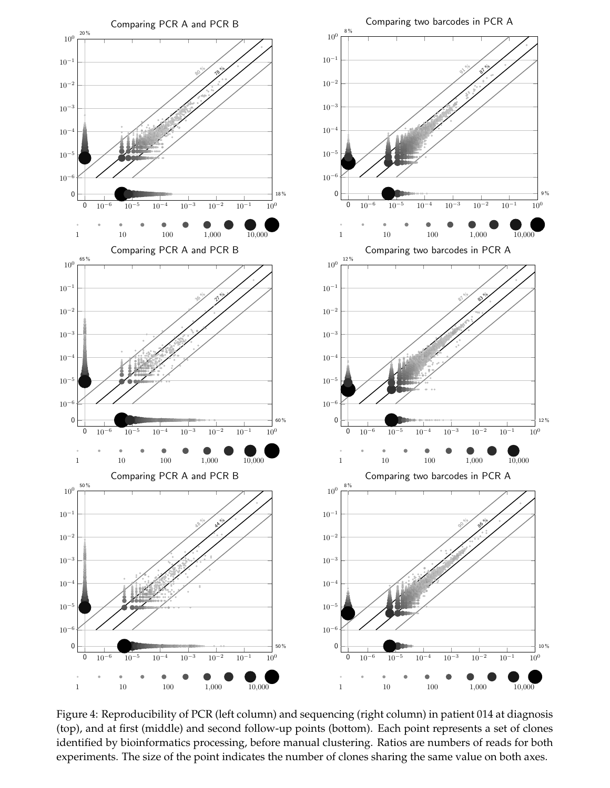

Figure 4: Reproducibility of PCR (left column) and sequencing (right column) in patient 014 at diagnosis (top), and at first (middle) and second follow-up points (bottom). Each point represents a set of clones identified by bioinformatics processing, before manual clustering. Ratios are numbers of reads for both experiments. The size of the point indicates the number of clones sharing the same value on both axes.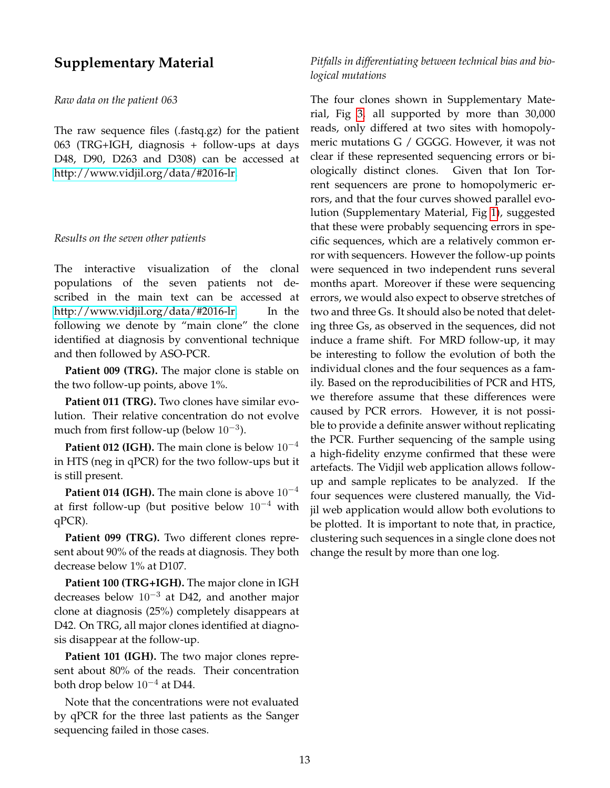# **Supplementary Material**

### *Raw data on the patient 063*

The raw sequence files (.fastq.gz) for the patient 063 (TRG+IGH, diagnosis + follow-ups at days D48, D90, D263 and D308) can be accessed at [http://www.vidjil.org/data/#2016-lr.](http://www.vidjil.org/data/#2016-lr)

### *Results on the seven other patients*

The interactive visualization of the clonal populations of the seven patients not described in the main text can be accessed at [http://www.vidjil.org/data/#2016-lr.](http://www.vidjil.org/data/#2016-lr) In the following we denote by "main clone" the clone identified at diagnosis by conventional technique and then followed by ASO-PCR.

**Patient 009 (TRG).** The major clone is stable on the two follow-up points, above 1%.

**Patient 011 (TRG).** Two clones have similar evolution. Their relative concentration do not evolve much from first follow-up (below  $10^{-3}$ ).

**Patient 012 (IGH).** The main clone is below 10<sup>-4</sup> in HTS (neg in qPCR) for the two follow-ups but it is still present.

**Patient 014 (IGH).** The main clone is above  $10^{-4}$ at first follow-up (but positive below  $10^{-4}$  with qPCR).

**Patient 099 (TRG).** Two different clones represent about 90% of the reads at diagnosis. They both decrease below 1% at D107.

**Patient 100 (TRG+IGH).** The major clone in IGH decreases below 10−<sup>3</sup> at D42, and another major clone at diagnosis (25%) completely disappears at D42. On TRG, all major clones identified at diagnosis disappear at the follow-up.

**Patient 101 (IGH).** The two major clones represent about 80% of the reads. Their concentration both drop below 10−<sup>4</sup> at D44.

Note that the concentrations were not evaluated by qPCR for the three last patients as the Sanger sequencing failed in those cases.

## *Pitfalls in differentiating between technical bias and biological mutations*

The four clones shown in Supplementary Material, Fig 3, all supported by more than 30,000 reads, only differed at two sites with homopolymeric mutations G / GGGG. However, it was not clear if these represented sequencing errors or biologically distinct clones. Given that Ion Torrent sequencers are prone to homopolymeric errors, and that the four curves showed parallel evolution (Supplementary Material, Fig 1), suggested that these were probably sequencing errors in specific sequences, which are a relatively common error with sequencers. However the follow-up points were sequenced in two independent runs several months apart. Moreover if these were sequencing errors, we would also expect to observe stretches of two and three Gs. It should also be noted that deleting three Gs, as observed in the sequences, did not induce a frame shift. For MRD follow-up, it may be interesting to follow the evolution of both the individual clones and the four sequences as a family. Based on the reproducibilities of PCR and HTS, we therefore assume that these differences were caused by PCR errors. However, it is not possible to provide a definite answer without replicating the PCR. Further sequencing of the sample using a high-fidelity enzyme confirmed that these were artefacts. The Vidjil web application allows followup and sample replicates to be analyzed. If the four sequences were clustered manually, the Vidjil web application would allow both evolutions to be plotted. It is important to note that, in practice, clustering such sequences in a single clone does not change the result by more than one log.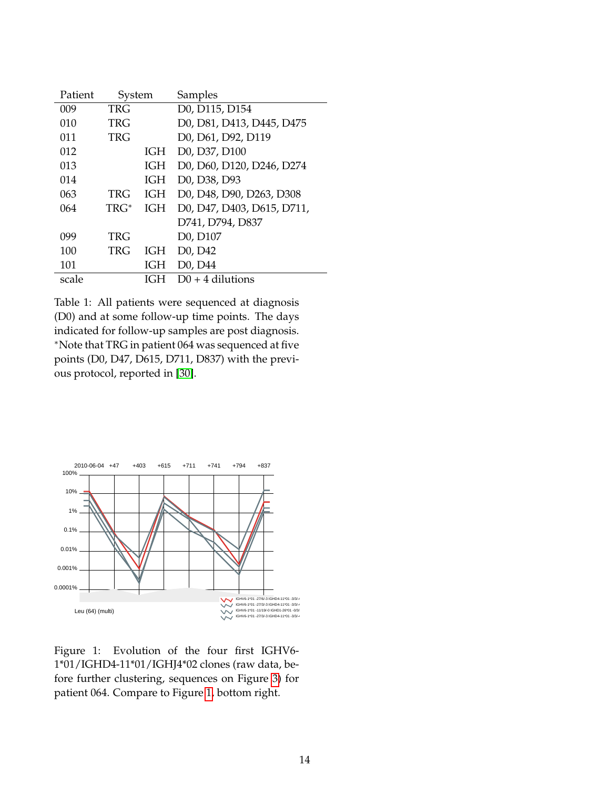| Patient | System |            | Samples                                            |
|---------|--------|------------|----------------------------------------------------|
| 009     | TRG    |            | D0, D115, D154                                     |
| 010     | TRG    |            | D0, D81, D413, D445, D475                          |
| 011     | TRG    |            | D0, D61, D92, D119                                 |
| 012     |        | IGH        | D0, D37, D100                                      |
| 013     |        | IGH        | D0, D60, D120, D246, D274                          |
| 014     |        | IGH        | D <sub>0</sub> , D <sub>38</sub> , D <sub>93</sub> |
| 063     | TRG    | IGH        | D0, D48, D90, D263, D308                           |
| 064     | TRG*   | IGH        | D0, D47, D403, D615, D711,                         |
|         |        |            | D741, D794, D837                                   |
| 099     | TRG    |            | D0, D107                                           |
| 100     | TRG    | IGH        | D <sub>0</sub> , D <sub>42</sub>                   |
| 101     |        | <b>IGH</b> | D <sub>0</sub> , D <sub>44</sub>                   |
| scale   |        | IG:H       | $D0 + 4$ dilutions                                 |

Table 1: All patients were sequenced at diagnosis (D0) and at some follow-up time points. The days indicated for follow-up samples are post diagnosis. <sup>∗</sup>Note that TRG in patient 064 was sequenced at five points (D0, D47, D615, D711, D837) with the previous protocol, reported in [30].

![](_page_14_Figure_2.jpeg)

Figure 1: Evolution of the four first IGHV6- 1\*01/IGHD4-11\*01/IGHJ4\*02 clones (raw data, before further clustering, sequences on Figure 3) for patient 064. Compare to Figure 1, bottom right.